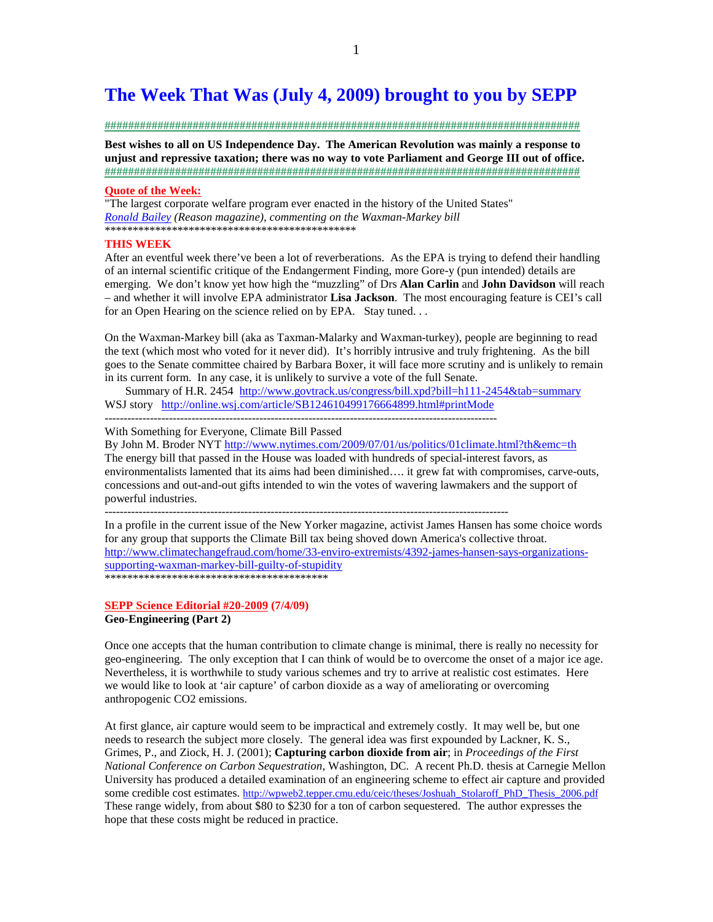## **The Week That Was (July 4, 2009) brought to you by SEPP**

**#################################################################################**

**Best wishes to all on US Independence Day. The American Revolution was mainly a response to unjust and repressive taxation; there was no way to vote Parliament and George III out of office. #################################################################################**

### **Quote of the Week:**

"The largest corporate welfare program ever enacted in the history of the United States" *Ronald Bailey (Reason magazine), commenting on the Waxman-Markey bill*  \*\*\*\*\*\*\*\*\*\*\*\*\*\*\*\*\*\*\*\*\*\*\*\*\*\*\*\*\*\*\*\*\*\*\*\*\*\*\*\*\*\*\*\*\*

### **THIS WEEK**

After an eventful week there've been a lot of reverberations. As the EPA is trying to defend their handling of an internal scientific critique of the Endangerment Finding, more Gore-y (pun intended) details are emerging. We don't know yet how high the "muzzling" of Drs **Alan Carlin** and **John Davidson** will reach – and whether it will involve EPA administrator **Lisa Jackson**. The most encouraging feature is CEI's call for an Open Hearing on the science relied on by EPA. Stay tuned. . .

On the Waxman-Markey bill (aka as Taxman-Malarky and Waxman-turkey), people are beginning to read the text (which most who voted for it never did). It's horribly intrusive and truly frightening. As the bill goes to the Senate committee chaired by Barbara Boxer, it will face more scrutiny and is unlikely to remain in its current form. In any case, it is unlikely to survive a vote of the full Senate.

Summary of H.R. 2454 http://www.govtrack.us/congress/bill.xpd?bill=h111-2454&tab=summary WSJ story http://online.wsj.com/article/SB124610499176664899.html#printMode --------------------------------------------------------------------------------------------------------

With Something for Everyone, Climate Bill Passed

By John M. Broder NYT http://www.nytimes.com/2009/07/01/us/politics/01climate.html?th&emc=th The energy bill that passed in the House was loaded with hundreds of special-interest favors, as environmentalists lamented that its aims had been diminished…. it grew fat with compromises, carve-outs, concessions and out-and-out gifts intended to win the votes of wavering lawmakers and the support of powerful industries.

-----------------------------------------------------------------------------------------------------------

In a profile in the current issue of the New Yorker magazine, activist James Hansen has some choice words for any group that supports the Climate Bill tax being shoved down America's collective throat. http://www.climatechangefraud.com/home/33-enviro-extremists/4392-james-hansen-says-organizationssupporting-waxman-markey-bill-guilty-of-stupidity \*\*\*\*\*\*\*\*\*\*\*\*\*\*\*\*\*\*\*\*\*\*\*\*\*\*\*\*\*\*\*\*\*\*\*\*\*\*\*\*

**SEPP Science Editorial #20-2009 (7/4/09) Geo-Engineering (Part 2)** 

Once one accepts that the human contribution to climate change is minimal, there is really no necessity for geo-engineering. The only exception that I can think of would be to overcome the onset of a major ice age. Nevertheless, it is worthwhile to study various schemes and try to arrive at realistic cost estimates. Here we would like to look at 'air capture' of carbon dioxide as a way of ameliorating or overcoming anthropogenic CO2 emissions.

At first glance, air capture would seem to be impractical and extremely costly. It may well be, but one needs to research the subject more closely. The general idea was first expounded by Lackner, K. S., Grimes, P., and Ziock, H. J. (2001); **Capturing carbon dioxide from air**; in *Proceedings of the First National Conference on Carbon Sequestration*, Washington, DC. A recent Ph.D. thesis at Carnegie Mellon University has produced a detailed examination of an engineering scheme to effect air capture and provided some credible cost estimates. http://wpweb2.tepper.cmu.edu/ceic/theses/Joshuah\_Stolaroff\_PhD\_Thesis\_2006.pdf These range widely, from about \$80 to \$230 for a ton of carbon sequestered. The author expresses the hope that these costs might be reduced in practice.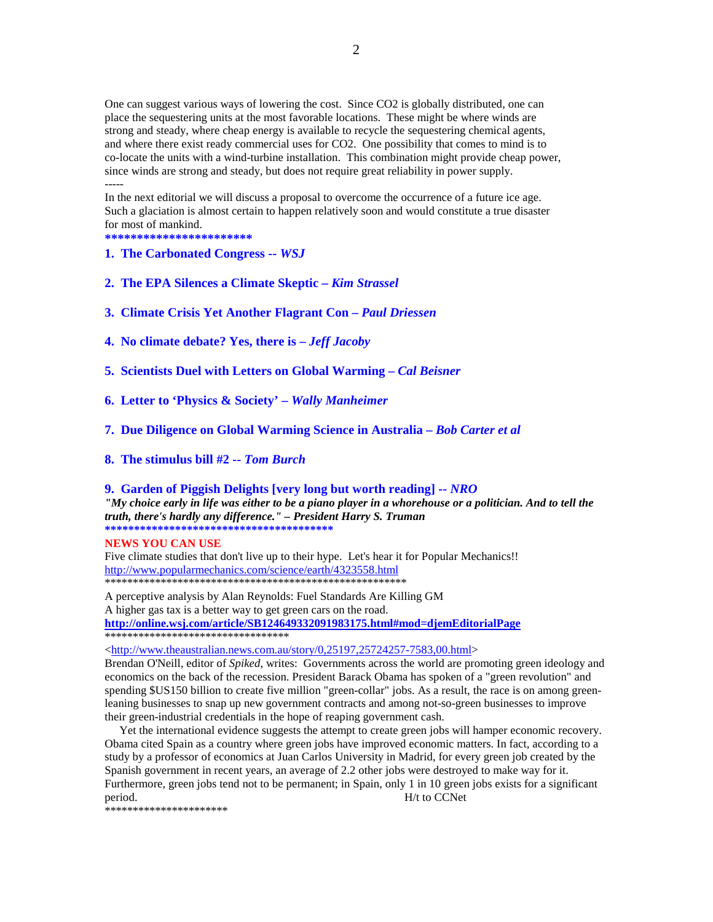One can suggest various ways of lowering the cost. Since CO2 is globally distributed, one can place the sequestering units at the most favorable locations. These might be where winds are strong and steady, where cheap energy is available to recycle the sequestering chemical agents, and where there exist ready commercial uses for CO2. One possibility that comes to mind is to co-locate the units with a wind-turbine installation. This combination might provide cheap power, since winds are strong and steady, but does not require great reliability in power supply. -----

In the next editorial we will discuss a proposal to overcome the occurrence of a future ice age. Such a glaciation is almost certain to happen relatively soon and would constitute a true disaster for most of mankind.

**\*\*\*\*\*\*\*\*\*\*\*\*\*\*\*\*\*\*\*\*\*\*\*** 

- **1. The Carbonated Congress --** *WSJ*
- **2. The EPA Silences a Climate Skeptic** *Kim Strassel*
- **3. Climate Crisis Yet Another Flagrant Con** *Paul Driessen*
- **4. No climate debate? Yes, there is** *Jeff Jacoby*
- **5. Scientists Duel with Letters on Global Warming** *Cal Beisner*
- **6. Letter to 'Physics & Society'** *Wally Manheimer*
- **7. Due Diligence on Global Warming Science in Australia** *Bob Carter et al*
- **8. The stimulus bill #2 --** *Tom Burch*

#### **9. Garden of Piggish Delights [very long but worth reading] --** *NRO*

*"My choice early in life was either to be a piano player in a whorehouse or a politician. And to tell the truth, there's hardly any difference." – President Harry S. Truman*  **\*\*\*\*\*\*\*\*\*\*\*\*\*\*\*\*\*\*\*\*\*\*\*\*\*\*\*\*\*\*\*\*\*\*\*\*\*\*\***

#### **NEWS YOU CAN USE**

Five climate studies that don't live up to their hype. Let's hear it for Popular Mechanics!! http://www.popularmechanics.com/science/earth/4323558.html \*\*\*\*\*\*\*\*\*\*\*\*\*\*\*\*\*\*\*\*\*\*\*\*\*\*\*\*\*\*\*\*\*\*\*\*\*\*\*\*\*\*\*\*\*\*\*\*\*\*\*\*\*\*

A perceptive analysis by Alan Reynolds: Fuel Standards Are Killing GM A higher gas tax is a better way to get green cars on the road. **http://online.wsj.com/article/SB124649332091983175.html#mod=djemEditorialPage** \*\*\*\*\*\*\*\*\*\*\*\*\*\*\*\*\*\*\*\*\*\*\*\*\*\*\*\*\*\*\*\*\*

<http://www.theaustralian.news.com.au/story/0,25197,25724257-7583,00.html>

Brendan O'Neill, editor of *Spiked*, writes: Governments across the world are promoting green ideology and economics on the back of the recession. President Barack Obama has spoken of a "green revolution" and spending \$US150 billion to create five million "green-collar" jobs. As a result, the race is on among greenleaning businesses to snap up new government contracts and among not-so-green businesses to improve their green-industrial credentials in the hope of reaping government cash.

 Yet the international evidence suggests the attempt to create green jobs will hamper economic recovery. Obama cited Spain as a country where green jobs have improved economic matters. In fact, according to a study by a professor of economics at Juan Carlos University in Madrid, for every green job created by the Spanish government in recent years, an average of 2.2 other jobs were destroyed to make way for it. Furthermore, green jobs tend not to be permanent; in Spain, only 1 in 10 green jobs exists for a significant period. H/t to CCNet

-<br>\*\*\*\*\*\*\*\*\*\*\*\*\*\*\*\*\*\*\*\*\*\*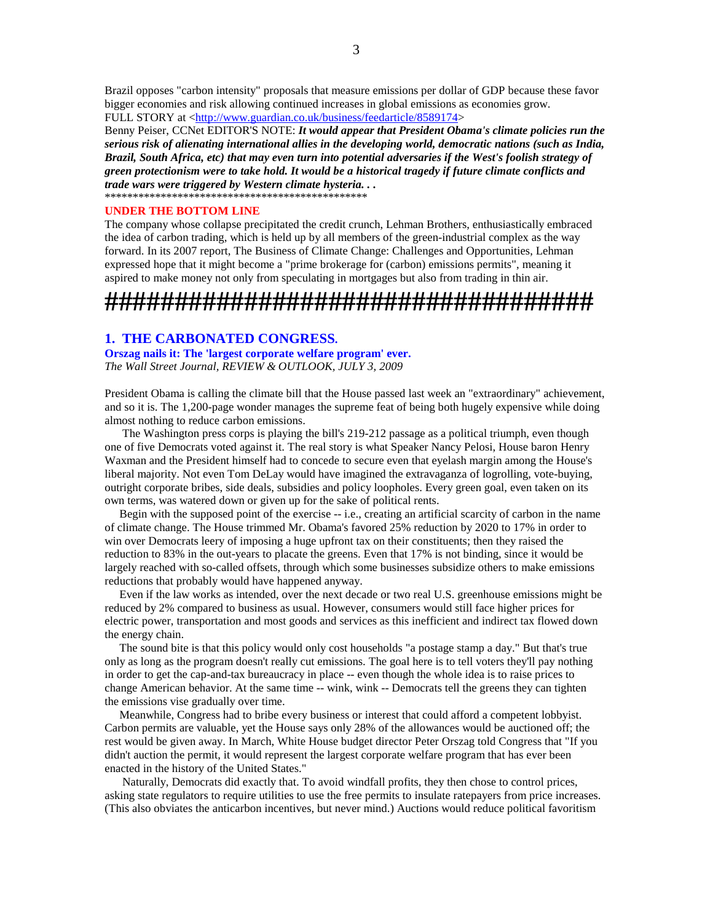Brazil opposes "carbon intensity" proposals that measure emissions per dollar of GDP because these favor bigger economies and risk allowing continued increases in global emissions as economies grow. FULL STORY at <http://www.guardian.co.uk/business/feedarticle/8589174>

Benny Peiser, CCNet EDITOR'S NOTE: *It would appear that President Obama's climate policies run the serious risk of alienating international allies in the developing world, democratic nations (such as India, Brazil, South Africa, etc) that may even turn into potential adversaries if the West's foolish strategy of green protectionism were to take hold. It would be a historical tragedy if future climate conflicts and trade wars were triggered by Western climate hysteria. . .* 

\*\*\*\*\*\*\*\*\*\*\*\*\*\*\*\*\*\*\*\*\*\*\*\*\*\*\*\*\*\*\*\*\*\*\*\*\*\*\*\*\*\*\*\*\*\*\*

### **UNDER THE BOTTOM LINE**

The company whose collapse precipitated the credit crunch, Lehman Brothers, enthusiastically embraced the idea of carbon trading, which is held up by all members of the green-industrial complex as the way forward. In its 2007 report, The Business of Climate Change: Challenges and Opportunities, Lehman expressed hope that it might become a "prime brokerage for (carbon) emissions permits", meaning it aspired to make money not only from speculating in mortgages but also from trading in thin air.

# **###################################**

### **1. THE CARBONATED CONGRESS.**

**Orszag nails it: The 'largest corporate welfare program' ever.**  *The Wall Street Journal, REVIEW & OUTLOOK, JULY 3, 2009* 

President Obama is calling the climate bill that the House passed last week an "extraordinary" achievement, and so it is. The 1,200-page wonder manages the supreme feat of being both hugely expensive while doing almost nothing to reduce carbon emissions.

 The Washington press corps is playing the bill's 219-212 passage as a political triumph, even though one of five Democrats voted against it. The real story is what Speaker Nancy Pelosi, House baron Henry Waxman and the President himself had to concede to secure even that eyelash margin among the House's liberal majority. Not even Tom DeLay would have imagined the extravaganza of logrolling, vote-buying, outright corporate bribes, side deals, subsidies and policy loopholes. Every green goal, even taken on its own terms, was watered down or given up for the sake of political rents.

 Begin with the supposed point of the exercise -- i.e., creating an artificial scarcity of carbon in the name of climate change. The House trimmed Mr. Obama's favored 25% reduction by 2020 to 17% in order to win over Democrats leery of imposing a huge upfront tax on their constituents; then they raised the reduction to 83% in the out-years to placate the greens. Even that 17% is not binding, since it would be largely reached with so-called offsets, through which some businesses subsidize others to make emissions reductions that probably would have happened anyway.

 Even if the law works as intended, over the next decade or two real U.S. greenhouse emissions might be reduced by 2% compared to business as usual. However, consumers would still face higher prices for electric power, transportation and most goods and services as this inefficient and indirect tax flowed down the energy chain.

 The sound bite is that this policy would only cost households "a postage stamp a day." But that's true only as long as the program doesn't really cut emissions. The goal here is to tell voters they'll pay nothing in order to get the cap-and-tax bureaucracy in place -- even though the whole idea is to raise prices to change American behavior. At the same time -- wink, wink -- Democrats tell the greens they can tighten the emissions vise gradually over time.

 Meanwhile, Congress had to bribe every business or interest that could afford a competent lobbyist. Carbon permits are valuable, yet the House says only 28% of the allowances would be auctioned off; the rest would be given away. In March, White House budget director Peter Orszag told Congress that "If you didn't auction the permit, it would represent the largest corporate welfare program that has ever been enacted in the history of the United States."

 Naturally, Democrats did exactly that. To avoid windfall profits, they then chose to control prices, asking state regulators to require utilities to use the free permits to insulate ratepayers from price increases. (This also obviates the anticarbon incentives, but never mind.) Auctions would reduce political favoritism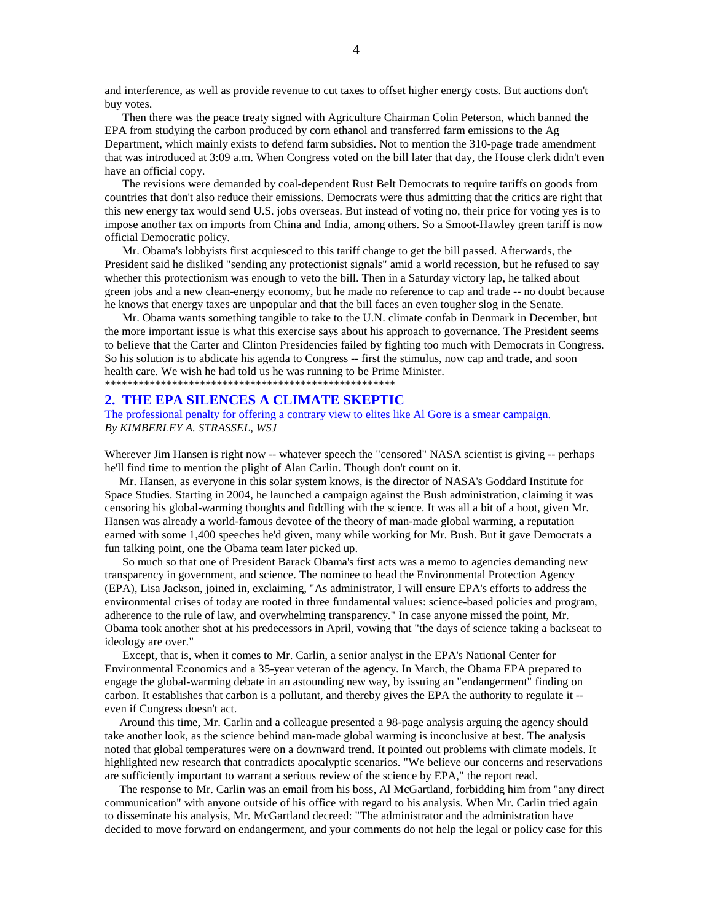and interference, as well as provide revenue to cut taxes to offset higher energy costs. But auctions don't buy votes.

 Then there was the peace treaty signed with Agriculture Chairman Colin Peterson, which banned the EPA from studying the carbon produced by corn ethanol and transferred farm emissions to the Ag Department, which mainly exists to defend farm subsidies. Not to mention the 310-page trade amendment that was introduced at 3:09 a.m. When Congress voted on the bill later that day, the House clerk didn't even have an official copy.

 The revisions were demanded by coal-dependent Rust Belt Democrats to require tariffs on goods from countries that don't also reduce their emissions. Democrats were thus admitting that the critics are right that this new energy tax would send U.S. jobs overseas. But instead of voting no, their price for voting yes is to impose another tax on imports from China and India, among others. So a Smoot-Hawley green tariff is now official Democratic policy.

 Mr. Obama's lobbyists first acquiesced to this tariff change to get the bill passed. Afterwards, the President said he disliked "sending any protectionist signals" amid a world recession, but he refused to say whether this protectionism was enough to veto the bill. Then in a Saturday victory lap, he talked about green jobs and a new clean-energy economy, but he made no reference to cap and trade -- no doubt because he knows that energy taxes are unpopular and that the bill faces an even tougher slog in the Senate.

 Mr. Obama wants something tangible to take to the U.N. climate confab in Denmark in December, but the more important issue is what this exercise says about his approach to governance. The President seems to believe that the Carter and Clinton Presidencies failed by fighting too much with Democrats in Congress. So his solution is to abdicate his agenda to Congress -- first the stimulus, now cap and trade, and soon health care. We wish he had told us he was running to be Prime Minister. \*\*\*\*\*\*\*\*\*\*\*\*\*\*\*\*\*\*\*\*\*\*\*\*\*\*\*\*\*\*\*\*\*\*\*\*\*\*\*\*\*\*\*\*\*\*\*\*\*\*\*\*

### **2. THE EPA SILENCES A CLIMATE SKEPTIC**

The professional penalty for offering a contrary view to elites like Al Gore is a smear campaign. *By KIMBERLEY A. STRASSEL, WSJ* 

Wherever Jim Hansen is right now -- whatever speech the "censored" NASA scientist is giving -- perhaps he'll find time to mention the plight of Alan Carlin. Though don't count on it.

 Mr. Hansen, as everyone in this solar system knows, is the director of NASA's Goddard Institute for Space Studies. Starting in 2004, he launched a campaign against the Bush administration, claiming it was censoring his global-warming thoughts and fiddling with the science. It was all a bit of a hoot, given Mr. Hansen was already a world-famous devotee of the theory of man-made global warming, a reputation earned with some 1,400 speeches he'd given, many while working for Mr. Bush. But it gave Democrats a fun talking point, one the Obama team later picked up.

 So much so that one of President Barack Obama's first acts was a memo to agencies demanding new transparency in government, and science. The nominee to head the Environmental Protection Agency (EPA), Lisa Jackson, joined in, exclaiming, "As administrator, I will ensure EPA's efforts to address the environmental crises of today are rooted in three fundamental values: science-based policies and program, adherence to the rule of law, and overwhelming transparency." In case anyone missed the point, Mr. Obama took another shot at his predecessors in April, vowing that "the days of science taking a backseat to ideology are over."

 Except, that is, when it comes to Mr. Carlin, a senior analyst in the EPA's National Center for Environmental Economics and a 35-year veteran of the agency. In March, the Obama EPA prepared to engage the global-warming debate in an astounding new way, by issuing an "endangerment" finding on carbon. It establishes that carbon is a pollutant, and thereby gives the EPA the authority to regulate it - even if Congress doesn't act.

 Around this time, Mr. Carlin and a colleague presented a 98-page analysis arguing the agency should take another look, as the science behind man-made global warming is inconclusive at best. The analysis noted that global temperatures were on a downward trend. It pointed out problems with climate models. It highlighted new research that contradicts apocalyptic scenarios. "We believe our concerns and reservations are sufficiently important to warrant a serious review of the science by EPA," the report read.

 The response to Mr. Carlin was an email from his boss, Al McGartland, forbidding him from "any direct communication" with anyone outside of his office with regard to his analysis. When Mr. Carlin tried again to disseminate his analysis, Mr. McGartland decreed: "The administrator and the administration have decided to move forward on endangerment, and your comments do not help the legal or policy case for this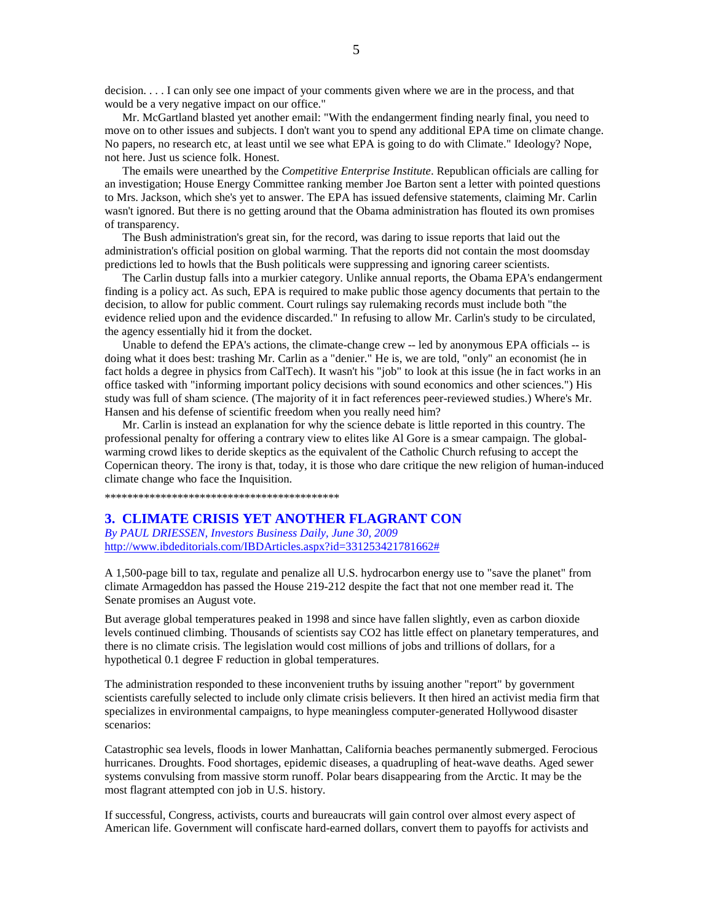decision. . . . I can only see one impact of your comments given where we are in the process, and that would be a very negative impact on our office."

 Mr. McGartland blasted yet another email: "With the endangerment finding nearly final, you need to move on to other issues and subjects. I don't want you to spend any additional EPA time on climate change. No papers, no research etc, at least until we see what EPA is going to do with Climate." Ideology? Nope, not here. Just us science folk. Honest.

 The emails were unearthed by the *Competitive Enterprise Institute*. Republican officials are calling for an investigation; House Energy Committee ranking member Joe Barton sent a letter with pointed questions to Mrs. Jackson, which she's yet to answer. The EPA has issued defensive statements, claiming Mr. Carlin wasn't ignored. But there is no getting around that the Obama administration has flouted its own promises of transparency.

 The Bush administration's great sin, for the record, was daring to issue reports that laid out the administration's official position on global warming. That the reports did not contain the most doomsday predictions led to howls that the Bush politicals were suppressing and ignoring career scientists.

 The Carlin dustup falls into a murkier category. Unlike annual reports, the Obama EPA's endangerment finding is a policy act. As such, EPA is required to make public those agency documents that pertain to the decision, to allow for public comment. Court rulings say rulemaking records must include both "the evidence relied upon and the evidence discarded." In refusing to allow Mr. Carlin's study to be circulated, the agency essentially hid it from the docket.

 Unable to defend the EPA's actions, the climate-change crew -- led by anonymous EPA officials -- is doing what it does best: trashing Mr. Carlin as a "denier." He is, we are told, "only" an economist (he in fact holds a degree in physics from CalTech). It wasn't his "job" to look at this issue (he in fact works in an office tasked with "informing important policy decisions with sound economics and other sciences.") His study was full of sham science. (The majority of it in fact references peer-reviewed studies.) Where's Mr. Hansen and his defense of scientific freedom when you really need him?

 Mr. Carlin is instead an explanation for why the science debate is little reported in this country. The professional penalty for offering a contrary view to elites like Al Gore is a smear campaign. The globalwarming crowd likes to deride skeptics as the equivalent of the Catholic Church refusing to accept the Copernican theory. The irony is that, today, it is those who dare critique the new religion of human-induced climate change who face the Inquisition.

\*\*\*\*\*\*\*\*\*\*\*\*\*\*\*\*\*\*\*\*\*\*\*\*\*\*\*\*\*\*\*\*\*\*\*\*\*\*\*\*\*\*

### **3. CLIMATE CRISIS YET ANOTHER FLAGRANT CON**

*By PAUL DRIESSEN, Investors Business Daily, June 30, 2009*  http://www.ibdeditorials.com/IBDArticles.aspx?id=331253421781662#

A 1,500-page bill to tax, regulate and penalize all U.S. hydrocarbon energy use to "save the planet" from climate Armageddon has passed the House 219-212 despite the fact that not one member read it. The Senate promises an August vote.

But average global temperatures peaked in 1998 and since have fallen slightly, even as carbon dioxide levels continued climbing. Thousands of scientists say CO2 has little effect on planetary temperatures, and there is no climate crisis. The legislation would cost millions of jobs and trillions of dollars, for a hypothetical 0.1 degree F reduction in global temperatures.

The administration responded to these inconvenient truths by issuing another "report" by government scientists carefully selected to include only climate crisis believers. It then hired an activist media firm that specializes in environmental campaigns, to hype meaningless computer-generated Hollywood disaster scenarios:

Catastrophic sea levels, floods in lower Manhattan, California beaches permanently submerged. Ferocious hurricanes. Droughts. Food shortages, epidemic diseases, a quadrupling of heat-wave deaths. Aged sewer systems convulsing from massive storm runoff. Polar bears disappearing from the Arctic. It may be the most flagrant attempted con job in U.S. history.

If successful, Congress, activists, courts and bureaucrats will gain control over almost every aspect of American life. Government will confiscate hard-earned dollars, convert them to payoffs for activists and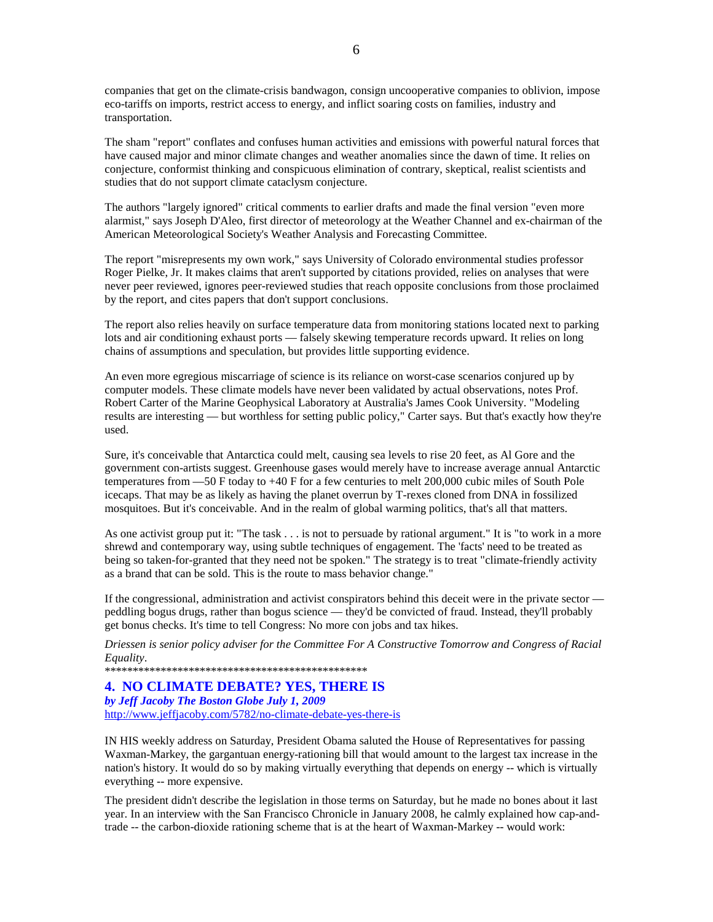companies that get on the climate-crisis bandwagon, consign uncooperative companies to oblivion, impose eco-tariffs on imports, restrict access to energy, and inflict soaring costs on families, industry and transportation.

The sham "report" conflates and confuses human activities and emissions with powerful natural forces that have caused major and minor climate changes and weather anomalies since the dawn of time. It relies on conjecture, conformist thinking and conspicuous elimination of contrary, skeptical, realist scientists and studies that do not support climate cataclysm conjecture.

The authors "largely ignored" critical comments to earlier drafts and made the final version "even more alarmist," says Joseph D'Aleo, first director of meteorology at the Weather Channel and ex-chairman of the American Meteorological Society's Weather Analysis and Forecasting Committee.

The report "misrepresents my own work," says University of Colorado environmental studies professor Roger Pielke, Jr. It makes claims that aren't supported by citations provided, relies on analyses that were never peer reviewed, ignores peer-reviewed studies that reach opposite conclusions from those proclaimed by the report, and cites papers that don't support conclusions.

The report also relies heavily on surface temperature data from monitoring stations located next to parking lots and air conditioning exhaust ports — falsely skewing temperature records upward. It relies on long chains of assumptions and speculation, but provides little supporting evidence.

An even more egregious miscarriage of science is its reliance on worst-case scenarios conjured up by computer models. These climate models have never been validated by actual observations, notes Prof. Robert Carter of the Marine Geophysical Laboratory at Australia's James Cook University. "Modeling results are interesting — but worthless for setting public policy," Carter says. But that's exactly how they're used.

Sure, it's conceivable that Antarctica could melt, causing sea levels to rise 20 feet, as Al Gore and the government con-artists suggest. Greenhouse gases would merely have to increase average annual Antarctic temperatures from —50 F today to +40 F for a few centuries to melt 200,000 cubic miles of South Pole icecaps. That may be as likely as having the planet overrun by T-rexes cloned from DNA in fossilized mosquitoes. But it's conceivable. And in the realm of global warming politics, that's all that matters.

As one activist group put it: "The task . . . is not to persuade by rational argument." It is "to work in a more shrewd and contemporary way, using subtle techniques of engagement. The 'facts' need to be treated as being so taken-for-granted that they need not be spoken." The strategy is to treat "climate-friendly activity as a brand that can be sold. This is the route to mass behavior change."

If the congressional, administration and activist conspirators behind this deceit were in the private sector peddling bogus drugs, rather than bogus science — they'd be convicted of fraud. Instead, they'll probably get bonus checks. It's time to tell Congress: No more con jobs and tax hikes.

*Driessen is senior policy adviser for the Committee For A Constructive Tomorrow and Congress of Racial Equality*.

\*\*\*\*\*\*\*\*\*\*\*\*\*\*\*\*\*\*\*\*\*\*\*\*\*\*\*\*\*\*\*\*\*\*\*\*\*\*\*\*\*\*\*\*\*\*\*

### **4. NO CLIMATE DEBATE? YES, THERE IS**

*by Jeff Jacoby The Boston Globe July 1, 2009*  http://www.jeffjacoby.com/5782/no-climate-debate-yes-there-is

IN HIS weekly address on Saturday, President Obama saluted the House of Representatives for passing Waxman-Markey, the gargantuan energy-rationing bill that would amount to the largest tax increase in the nation's history. It would do so by making virtually everything that depends on energy -- which is virtually everything -- more expensive.

The president didn't describe the legislation in those terms on Saturday, but he made no bones about it last year. In an interview with the San Francisco Chronicle in January 2008, he calmly explained how cap-andtrade -- the carbon-dioxide rationing scheme that is at the heart of Waxman-Markey -- would work: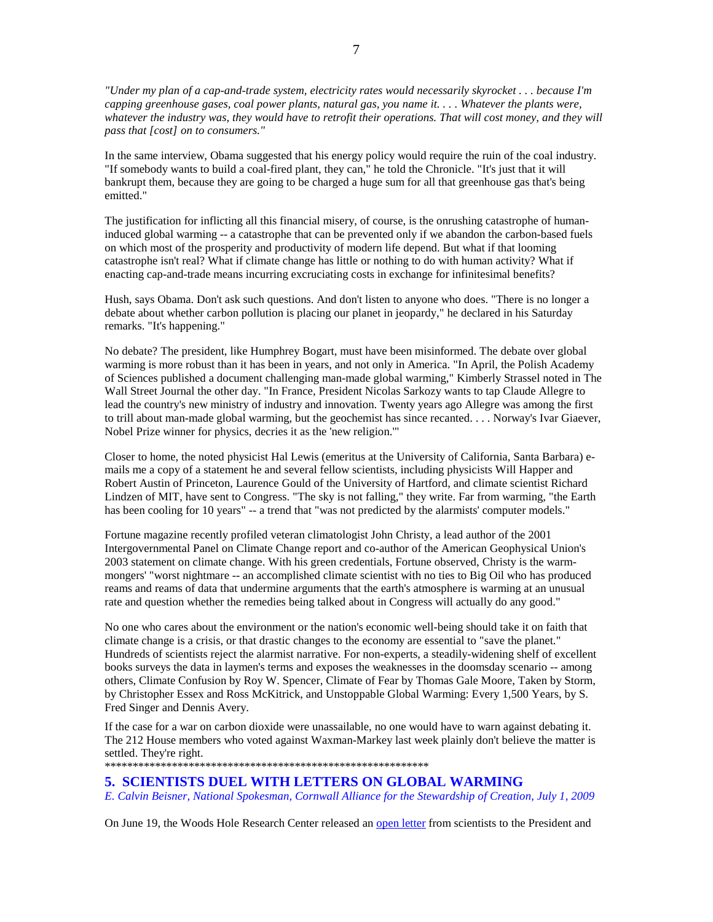*"Under my plan of a cap-and-trade system, electricity rates would necessarily skyrocket . . . because I'm capping greenhouse gases, coal power plants, natural gas, you name it. . . . Whatever the plants were,* whatever the industry was, they would have to retrofit their operations. That will cost money, and they will *pass that [cost] on to consumers."* 

In the same interview, Obama suggested that his energy policy would require the ruin of the coal industry. "If somebody wants to build a coal-fired plant, they can," he told the Chronicle. "It's just that it will bankrupt them, because they are going to be charged a huge sum for all that greenhouse gas that's being emitted."

The justification for inflicting all this financial misery, of course, is the onrushing catastrophe of humaninduced global warming -- a catastrophe that can be prevented only if we abandon the carbon-based fuels on which most of the prosperity and productivity of modern life depend. But what if that looming catastrophe isn't real? What if climate change has little or nothing to do with human activity? What if enacting cap-and-trade means incurring excruciating costs in exchange for infinitesimal benefits?

Hush, says Obama. Don't ask such questions. And don't listen to anyone who does. "There is no longer a debate about whether carbon pollution is placing our planet in jeopardy," he declared in his Saturday remarks. "It's happening."

No debate? The president, like Humphrey Bogart, must have been misinformed. The debate over global warming is more robust than it has been in years, and not only in America. "In April, the Polish Academy of Sciences published a document challenging man-made global warming," Kimberly Strassel noted in The Wall Street Journal the other day. "In France, President Nicolas Sarkozy wants to tap Claude Allegre to lead the country's new ministry of industry and innovation. Twenty years ago Allegre was among the first to trill about man-made global warming, but the geochemist has since recanted. . . . Norway's Ivar Giaever, Nobel Prize winner for physics, decries it as the 'new religion.'"

Closer to home, the noted physicist Hal Lewis (emeritus at the University of California, Santa Barbara) emails me a copy of a statement he and several fellow scientists, including physicists Will Happer and Robert Austin of Princeton, Laurence Gould of the University of Hartford, and climate scientist Richard Lindzen of MIT, have sent to Congress. "The sky is not falling," they write. Far from warming, "the Earth has been cooling for 10 years" -- a trend that "was not predicted by the alarmists' computer models."

Fortune magazine recently profiled veteran climatologist John Christy, a lead author of the 2001 Intergovernmental Panel on Climate Change report and co-author of the American Geophysical Union's 2003 statement on climate change. With his green credentials, Fortune observed, Christy is the warmmongers' "worst nightmare -- an accomplished climate scientist with no ties to Big Oil who has produced reams and reams of data that undermine arguments that the earth's atmosphere is warming at an unusual rate and question whether the remedies being talked about in Congress will actually do any good."

No one who cares about the environment or the nation's economic well-being should take it on faith that climate change is a crisis, or that drastic changes to the economy are essential to "save the planet." Hundreds of scientists reject the alarmist narrative. For non-experts, a steadily-widening shelf of excellent books surveys the data in laymen's terms and exposes the weaknesses in the doomsday scenario -- among others, Climate Confusion by Roy W. Spencer, Climate of Fear by Thomas Gale Moore, Taken by Storm, by Christopher Essex and Ross McKitrick, and Unstoppable Global Warming: Every 1,500 Years, by S. Fred Singer and Dennis Avery.

If the case for a war on carbon dioxide were unassailable, no one would have to warn against debating it. The 212 House members who voted against Waxman-Markey last week plainly don't believe the matter is settled. They're right.

\*\*\*\*\*\*\*\*\*\*\*\*\*\*\*\*\*\*\*\*\*\*\*\*\*\*\*\*\*\*\*\*\*\*\*\*\*\*\*\*\*\*\*\*\*\*\*\*\*\*\*\*\*\*\*\*\*\*

### **5. SCIENTISTS DUEL WITH LETTERS ON GLOBAL WARMING**

*E. Calvin Beisner, National Spokesman, Cornwall Alliance for the Stewardship of Creation, July 1, 2009*

On June 19, the Woods Hole Research Center released an open letter from scientists to the President and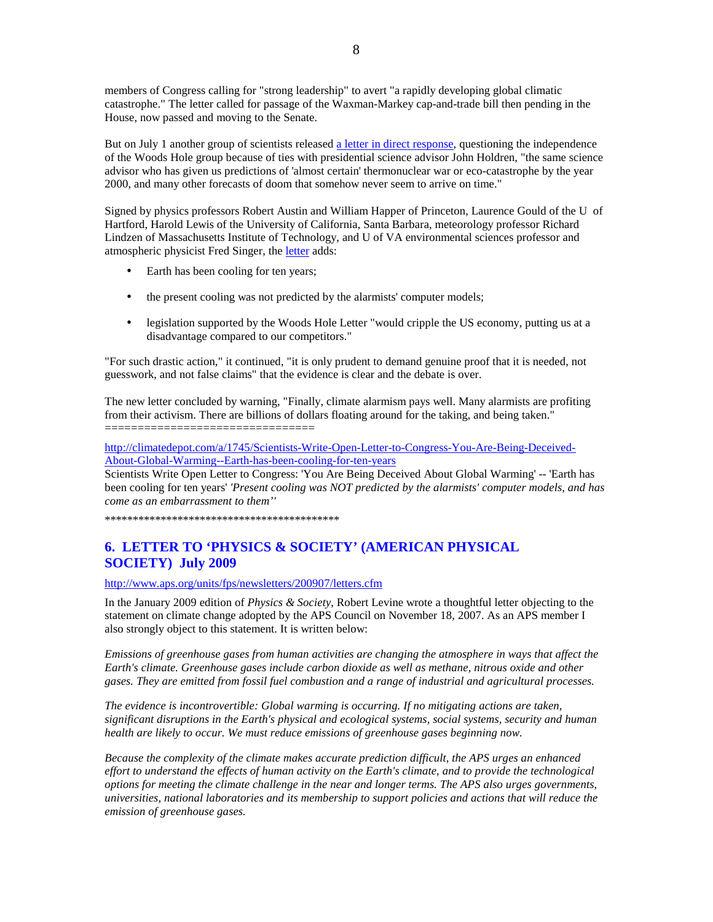members of Congress calling for "strong leadership" to avert "a rapidly developing global climatic catastrophe." The letter called for passage of the Waxman-Markey cap-and-trade bill then pending in the House, now passed and moving to the Senate.

But on July 1 another group of scientists released a letter in direct response, questioning the independence of the Woods Hole group because of ties with presidential science advisor John Holdren, "the same science advisor who has given us predictions of 'almost certain' thermonuclear war or eco-catastrophe by the year 2000, and many other forecasts of doom that somehow never seem to arrive on time."

Signed by physics professors Robert Austin and William Happer of Princeton, Laurence Gould of the U of Hartford, Harold Lewis of the University of California, Santa Barbara, meteorology professor Richard Lindzen of Massachusetts Institute of Technology, and U of VA environmental sciences professor and atmospheric physicist Fred Singer, the letter adds:

- Earth has been cooling for ten years;
- the present cooling was not predicted by the alarmists' computer models;
- legislation supported by the Woods Hole Letter "would cripple the US economy, putting us at a disadvantage compared to our competitors."

"For such drastic action," it continued, "it is only prudent to demand genuine proof that it is needed, not guesswork, and not false claims" that the evidence is clear and the debate is over.

The new letter concluded by warning, "Finally, climate alarmism pays well. Many alarmists are profiting from their activism. There are billions of dollars floating around for the taking, and being taken."

================================

http://climatedepot.com/a/1745/Scientists-Write-Open-Letter-to-Congress-You-Are-Being-Deceived-About-Global-Warming--Earth-has-been-cooling-for-ten-years

Scientists Write Open Letter to Congress: 'You Are Being Deceived About Global Warming' -- 'Earth has been cooling for ten years' *'Present cooling was NOT predicted by the alarmists' computer models, and has come as an embarrassment to them''*

\*\*\*\*\*\*\*\*\*\*\*\*\*\*\*\*\*\*\*\*\*\*\*\*\*\*\*\*\*\*\*\*\*\*\*\*\*\*\*\*\*\*

### **6. LETTER TO 'PHYSICS & SOCIETY' (AMERICAN PHYSICAL SOCIETY) July 2009**

### http://www.aps.org/units/fps/newsletters/200907/letters.cfm

In the January 2009 edition of *Physics & Society*, Robert Levine wrote a thoughtful letter objecting to the statement on climate change adopted by the APS Council on November 18, 2007. As an APS member I also strongly object to this statement. It is written below:

*Emissions of greenhouse gases from human activities are changing the atmosphere in ways that affect the Earth's climate. Greenhouse gases include carbon dioxide as well as methane, nitrous oxide and other gases. They are emitted from fossil fuel combustion and a range of industrial and agricultural processes.*

*The evidence is incontrovertible: Global warming is occurring. If no mitigating actions are taken, significant disruptions in the Earth's physical and ecological systems, social systems, security and human health are likely to occur. We must reduce emissions of greenhouse gases beginning now.*

*Because the complexity of the climate makes accurate prediction difficult, the APS urges an enhanced effort to understand the effects of human activity on the Earth's climate, and to provide the technological options for meeting the climate challenge in the near and longer terms. The APS also urges governments, universities, national laboratories and its membership to support policies and actions that will reduce the emission of greenhouse gases.*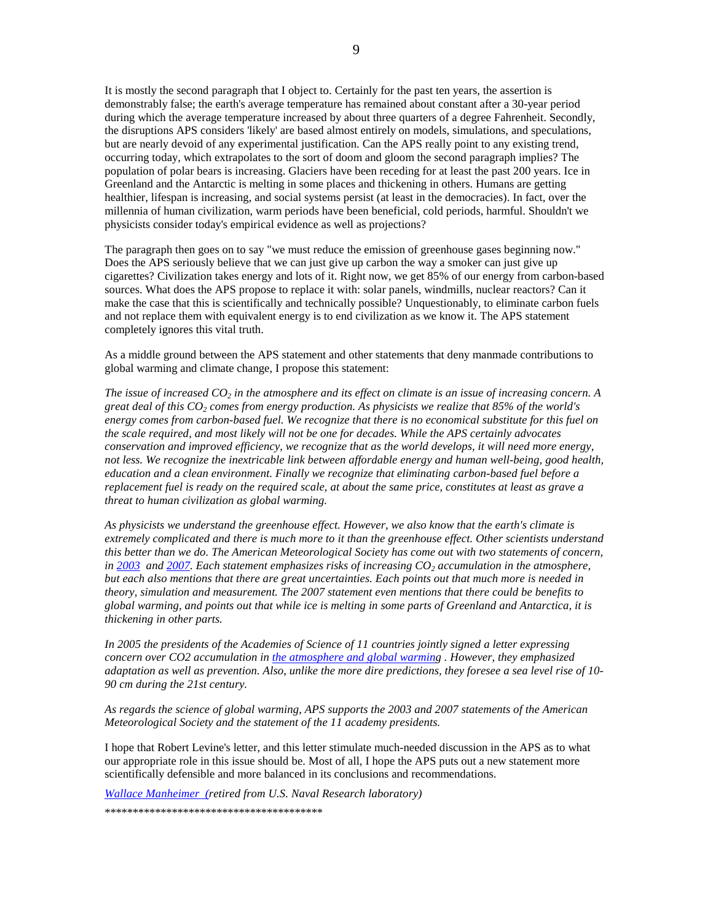It is mostly the second paragraph that I object to. Certainly for the past ten years, the assertion is demonstrably false; the earth's average temperature has remained about constant after a 30-year period during which the average temperature increased by about three quarters of a degree Fahrenheit. Secondly, the disruptions APS considers 'likely' are based almost entirely on models, simulations, and speculations, but are nearly devoid of any experimental justification. Can the APS really point to any existing trend, occurring today, which extrapolates to the sort of doom and gloom the second paragraph implies? The population of polar bears is increasing. Glaciers have been receding for at least the past 200 years. Ice in Greenland and the Antarctic is melting in some places and thickening in others. Humans are getting healthier, lifespan is increasing, and social systems persist (at least in the democracies). In fact, over the millennia of human civilization, warm periods have been beneficial, cold periods, harmful. Shouldn't we physicists consider today's empirical evidence as well as projections?

The paragraph then goes on to say "we must reduce the emission of greenhouse gases beginning now." Does the APS seriously believe that we can just give up carbon the way a smoker can just give up cigarettes? Civilization takes energy and lots of it. Right now, we get 85% of our energy from carbon-based sources. What does the APS propose to replace it with: solar panels, windmills, nuclear reactors? Can it make the case that this is scientifically and technically possible? Unquestionably, to eliminate carbon fuels and not replace them with equivalent energy is to end civilization as we know it. The APS statement completely ignores this vital truth.

As a middle ground between the APS statement and other statements that deny manmade contributions to global warming and climate change, I propose this statement:

*The issue of increased CO2 in the atmosphere and its effect on climate is an issue of increasing concern. A great deal of this CO2 comes from energy production. As physicists we realize that 85% of the world's energy comes from carbon-based fuel. We recognize that there is no economical substitute for this fuel on the scale required, and most likely will not be one for decades. While the APS certainly advocates conservation and improved efficiency, we recognize that as the world develops, it will need more energy, not less. We recognize the inextricable link between affordable energy and human well-being, good health, education and a clean environment. Finally we recognize that eliminating carbon-based fuel before a replacement fuel is ready on the required scale, at about the same price, constitutes at least as grave a threat to human civilization as global warming.*

*As physicists we understand the greenhouse effect. However, we also know that the earth's climate is extremely complicated and there is much more to it than the greenhouse effect. Other scientists understand this better than we do. The American Meteorological Society has come out with two statements of concern, in 2003 and 2007. Each statement emphasizes risks of increasing CO2 accumulation in the atmosphere, but each also mentions that there are great uncertainties. Each points out that much more is needed in theory, simulation and measurement. The 2007 statement even mentions that there could be benefits to global warming, and points out that while ice is melting in some parts of Greenland and Antarctica, it is thickening in other parts.*

*In 2005 the presidents of the Academies of Science of 11 countries jointly signed a letter expressing concern over CO2 accumulation in the atmosphere and global warming . However, they emphasized adaptation as well as prevention. Also, unlike the more dire predictions, they foresee a sea level rise of 10- 90 cm during the 21st century.*

*As regards the science of global warming, APS supports the 2003 and 2007 statements of the American Meteorological Society and the statement of the 11 academy presidents.*

I hope that Robert Levine's letter, and this letter stimulate much-needed discussion in the APS as to what our appropriate role in this issue should be. Most of all, I hope the APS puts out a new statement more scientifically defensible and more balanced in its conclusions and recommendations.

*Wallace Manheimer (retired from U.S. Naval Research laboratory)* 

\*\*\*\*\*\*\*\*\*\*\*\*\*\*\*\*\*\*\*\*\*\*\*\*\*\*\*\*\*\*\*\*\*\*\*\*\*\*\*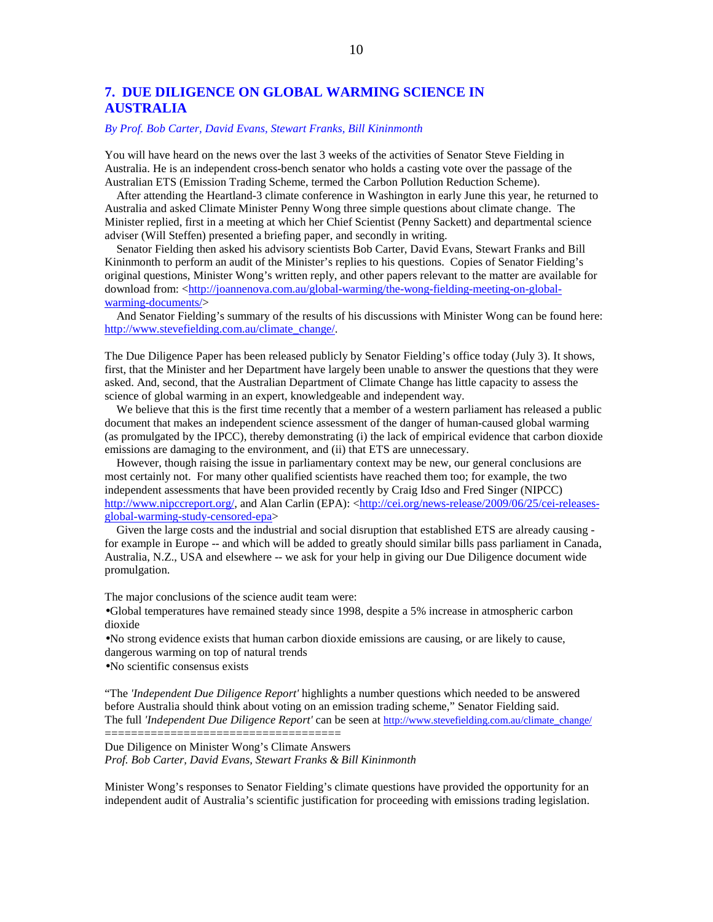### **7. DUE DILIGENCE ON GLOBAL WARMING SCIENCE IN AUSTRALIA**

### *By Prof. Bob Carter, David Evans, Stewart Franks, Bill Kininmonth*

You will have heard on the news over the last 3 weeks of the activities of Senator Steve Fielding in Australia. He is an independent cross-bench senator who holds a casting vote over the passage of the Australian ETS (Emission Trading Scheme, termed the Carbon Pollution Reduction Scheme).

 After attending the Heartland-3 climate conference in Washington in early June this year, he returned to Australia and asked Climate Minister Penny Wong three simple questions about climate change. The Minister replied, first in a meeting at which her Chief Scientist (Penny Sackett) and departmental science adviser (Will Steffen) presented a briefing paper, and secondly in writing.

 Senator Fielding then asked his advisory scientists Bob Carter, David Evans, Stewart Franks and Bill Kininmonth to perform an audit of the Minister's replies to his questions. Copies of Senator Fielding's original questions, Minister Wong's written reply, and other papers relevant to the matter are available for download from: <http://joannenova.com.au/global-warming/the-wong-fielding-meeting-on-globalwarming-documents/>

 And Senator Fielding's summary of the results of his discussions with Minister Wong can be found here: http://www.stevefielding.com.au/climate\_change/.

The Due Diligence Paper has been released publicly by Senator Fielding's office today (July 3). It shows, first, that the Minister and her Department have largely been unable to answer the questions that they were asked. And, second, that the Australian Department of Climate Change has little capacity to assess the science of global warming in an expert, knowledgeable and independent way.

We believe that this is the first time recently that a member of a western parliament has released a public document that makes an independent science assessment of the danger of human-caused global warming (as promulgated by the IPCC), thereby demonstrating (i) the lack of empirical evidence that carbon dioxide emissions are damaging to the environment, and (ii) that ETS are unnecessary.

 However, though raising the issue in parliamentary context may be new, our general conclusions are most certainly not. For many other qualified scientists have reached them too; for example, the two independent assessments that have been provided recently by Craig Idso and Fred Singer (NIPCC) http://www.nipccreport.org/, and Alan Carlin (EPA): <http://cei.org/news-release/2009/06/25/cei-releasesglobal-warming-study-censored-epa>

 Given the large costs and the industrial and social disruption that established ETS are already causing for example in Europe -- and which will be added to greatly should similar bills pass parliament in Canada, Australia, N.Z., USA and elsewhere -- we ask for your help in giving our Due Diligence document wide promulgation.

The major conclusions of the science audit team were:

====================================

•Global temperatures have remained steady since 1998, despite a 5% increase in atmospheric carbon dioxide

•No strong evidence exists that human carbon dioxide emissions are causing, or are likely to cause, dangerous warming on top of natural trends

•No scientific consensus exists

"The *'Independent Due Diligence Report'* highlights a number questions which needed to be answered before Australia should think about voting on an emission trading scheme," Senator Fielding said. The full *'Independent Due Diligence Report'* can be seen at http://www.stevefielding.com.au/climate\_change/

Due Diligence on Minister Wong's Climate Answers *Prof. Bob Carter, David Evans, Stewart Franks & Bill Kininmonth* 

Minister Wong's responses to Senator Fielding's climate questions have provided the opportunity for an independent audit of Australia's scientific justification for proceeding with emissions trading legislation.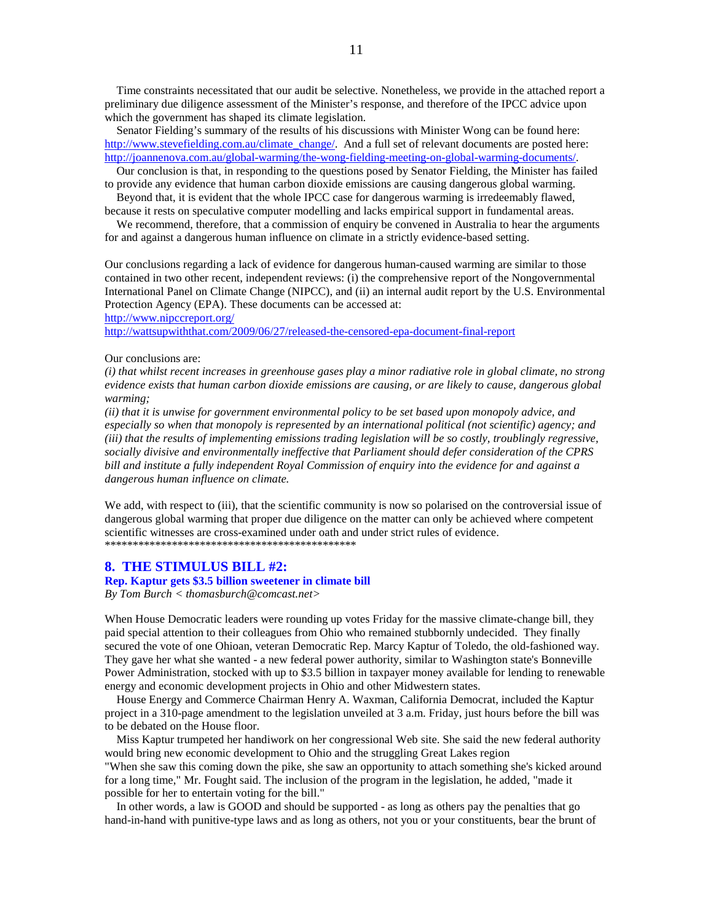Time constraints necessitated that our audit be selective. Nonetheless, we provide in the attached report a preliminary due diligence assessment of the Minister's response, and therefore of the IPCC advice upon which the government has shaped its climate legislation.

 Senator Fielding's summary of the results of his discussions with Minister Wong can be found here: http://www.stevefielding.com.au/climate\_change/. And a full set of relevant documents are posted here: http://joannenova.com.au/global-warming/the-wong-fielding-meeting-on-global-warming-documents/.

 Our conclusion is that, in responding to the questions posed by Senator Fielding, the Minister has failed to provide any evidence that human carbon dioxide emissions are causing dangerous global warming.

 Beyond that, it is evident that the whole IPCC case for dangerous warming is irredeemably flawed, because it rests on speculative computer modelling and lacks empirical support in fundamental areas.

 We recommend, therefore, that a commission of enquiry be convened in Australia to hear the arguments for and against a dangerous human influence on climate in a strictly evidence-based setting.

Our conclusions regarding a lack of evidence for dangerous human-caused warming are similar to those contained in two other recent, independent reviews: (i) the comprehensive report of the Nongovernmental International Panel on Climate Change (NIPCC), and (ii) an internal audit report by the U.S. Environmental Protection Agency (EPA). These documents can be accessed at:

http://www.nipccreport.org/

http://wattsupwiththat.com/2009/06/27/released-the-censored-epa-document-final-report

#### Our conclusions are:

*(i) that whilst recent increases in greenhouse gases play a minor radiative role in global climate, no strong evidence exists that human carbon dioxide emissions are causing, or are likely to cause, dangerous global warming;* 

*(ii) that it is unwise for government environmental policy to be set based upon monopoly advice, and especially so when that monopoly is represented by an international political (not scientific) agency; and (iii) that the results of implementing emissions trading legislation will be so costly, troublingly regressive, socially divisive and environmentally ineffective that Parliament should defer consideration of the CPRS bill and institute a fully independent Royal Commission of enquiry into the evidence for and against a dangerous human influence on climate.* 

We add, with respect to (iii), that the scientific community is now so polarised on the controversial issue of dangerous global warming that proper due diligence on the matter can only be achieved where competent scientific witnesses are cross-examined under oath and under strict rules of evidence. \*\*\*\*\*\*\*\*\*\*\*\*\*\*\*\*\*\*\*\*\*\*\*\*\*\*\*\*\*\*\*\*\*\*\*\*\*\*\*\*\*\*\*\*\*

### **8. THE STIMULUS BILL #2:**

#### **Rep. Kaptur gets \$3.5 billion sweetener in climate bill**

*By Tom Burch < thomasburch@comcast.net>* 

When House Democratic leaders were rounding up votes Friday for the massive climate-change bill, they paid special attention to their colleagues from Ohio who remained stubbornly undecided. They finally secured the vote of one Ohioan, veteran Democratic Rep. Marcy Kaptur of Toledo, the old-fashioned way. They gave her what she wanted - a new federal power authority, similar to Washington state's Bonneville Power Administration, stocked with up to \$3.5 billion in taxpayer money available for lending to renewable energy and economic development projects in Ohio and other Midwestern states.

 House Energy and Commerce Chairman Henry A. Waxman, California Democrat, included the Kaptur project in a 310-page amendment to the legislation unveiled at 3 a.m. Friday, just hours before the bill was to be debated on the House floor.

 Miss Kaptur trumpeted her handiwork on her congressional Web site. She said the new federal authority would bring new economic development to Ohio and the struggling Great Lakes region "When she saw this coming down the pike, she saw an opportunity to attach something she's kicked around for a long time," Mr. Fought said. The inclusion of the program in the legislation, he added, "made it possible for her to entertain voting for the bill."

 In other words, a law is GOOD and should be supported - as long as others pay the penalties that go hand-in-hand with punitive-type laws and as long as others, not you or your constituents, bear the brunt of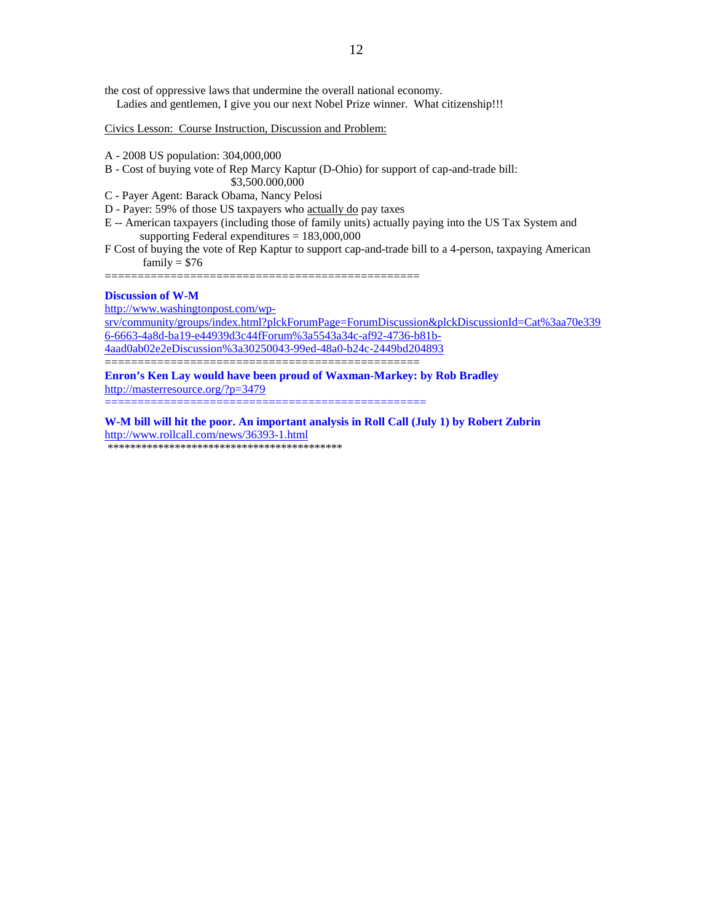the cost of oppressive laws that undermine the overall national economy.

Ladies and gentlemen, I give you our next Nobel Prize winner. What citizenship!!!

### Civics Lesson: Course Instruction, Discussion and Problem:

- A 2008 US population: 304,000,000
- B Cost of buying vote of Rep Marcy Kaptur (D-Ohio) for support of cap-and-trade bill: \$3,500.000,000
- C Payer Agent: Barack Obama, Nancy Pelosi
- D Payer: 59% of those US taxpayers who actually do pay taxes
- E -- American taxpayers (including those of family units) actually paying into the US Tax System and supporting Federal expenditures = 183,000,000
- F Cost of buying the vote of Rep Kaptur to support cap-and-trade bill to a 4-person, taxpaying American family  $= $76$

================================================

### **Discussion of W-M**

http://www.washingtonpost.com/wp-

srv/community/groups/index.html?plckForumPage=ForumDiscussion&plckDiscussionId=Cat%3aa70e339 6-6663-4a8d-ba19-e44939d3c44fForum%3a5543a34c-af92-4736-b81b-4aad0ab02e2eDiscussion%3a30250043-99ed-48a0-b24c-2449bd204893 ================================================

### **Enron's Ken Lay would have been proud of Waxman-Markey: by Rob Bradley**  http://masterresource.org/?p=3479

=================================================

**W-M bill will hit the poor. An important analysis in Roll Call (July 1) by Robert Zubrin**  http://www.rollcall.com/news/36393-1.html \*\*\*\*\*\*\*\*\*\*\*\*\*\*\*\*\*\*\*\*\*\*\*\*\*\*\*\*\*\*\*\*\*\*\*\*\*\*\*\*\*\*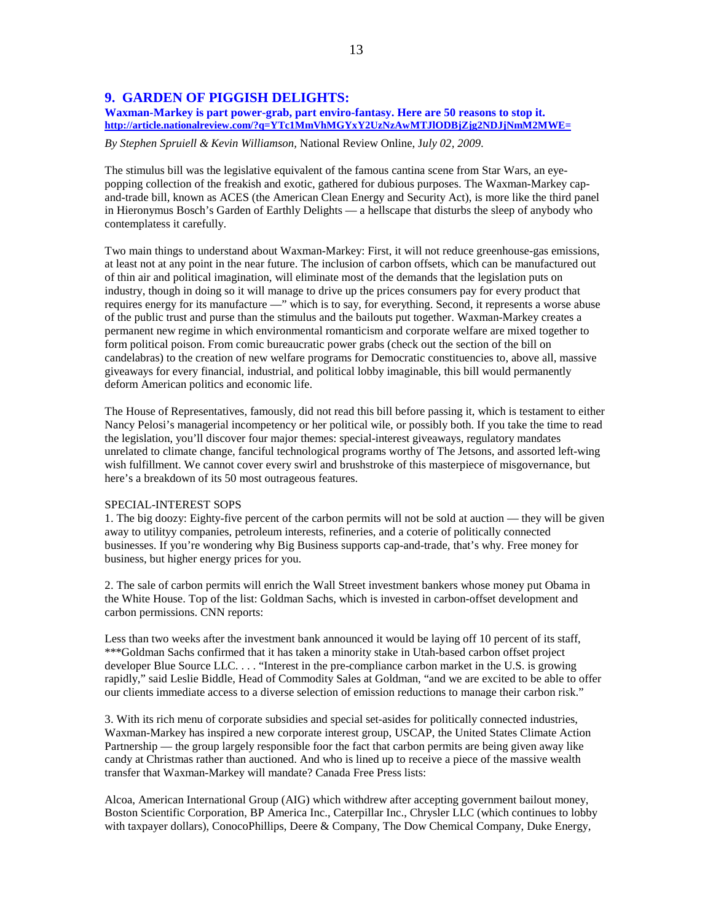### **9. GARDEN OF PIGGISH DELIGHTS:**

**Waxman-Markey is part power-grab, part enviro-fantasy. Here are 50 reasons to stop it. http://article.nationalreview.com/?q=YTc1MmVhMGYxY2UzNzAwMTJlODBjZjg2NDJjNmM2MWE=**

*By Stephen Spruiell & Kevin Williamson,* National Review Online, J*uly 02, 2009.* 

The stimulus bill was the legislative equivalent of the famous cantina scene from Star Wars, an eyepopping collection of the freakish and exotic, gathered for dubious purposes. The Waxman-Markey capand-trade bill, known as ACES (the American Clean Energy and Security Act), is more like the third panel in Hieronymus Bosch's Garden of Earthly Delights — a hellscape that disturbs the sleep of anybody who contemplatess it carefully.

Two main things to understand about Waxman-Markey: First, it will not reduce greenhouse-gas emissions, at least not at any point in the near future. The inclusion of carbon offsets, which can be manufactured out of thin air and political imagination, will eliminate most of the demands that the legislation puts on industry, though in doing so it will manage to drive up the prices consumers pay for every product that requires energy for its manufacture —" which is to say, for everything. Second, it represents a worse abuse of the public trust and purse than the stimulus and the bailouts put together. Waxman-Markey creates a permanent new regime in which environmental romanticism and corporate welfare are mixed together to form political poison. From comic bureaucratic power grabs (check out the section of the bill on candelabras) to the creation of new welfare programs for Democratic constituencies to, above all, massive giveaways for every financial, industrial, and political lobby imaginable, this bill would permanently deform American politics and economic life.

The House of Representatives, famously, did not read this bill before passing it, which is testament to either Nancy Pelosi's managerial incompetency or her political wile, or possibly both. If you take the time to read the legislation, you'll discover four major themes: special-interest giveaways, regulatory mandates unrelated to climate change, fanciful technological programs worthy of The Jetsons, and assorted left-wing wish fulfillment. We cannot cover every swirl and brushstroke of this masterpiece of misgovernance, but here's a breakdown of its 50 most outrageous features.

### SPECIAL-INTEREST SOPS

1. The big doozy: Eighty-five percent of the carbon permits will not be sold at auction — they will be given away to utilityy companies, petroleum interests, refineries, and a coterie of politically connected businesses. If you're wondering why Big Business supports cap-and-trade, that's why. Free money for business, but higher energy prices for you.

2. The sale of carbon permits will enrich the Wall Street investment bankers whose money put Obama in the White House. Top of the list: Goldman Sachs, which is invested in carbon-offset development and carbon permissions. CNN reports:

Less than two weeks after the investment bank announced it would be laying off 10 percent of its staff, \*\*\*Goldman Sachs confirmed that it has taken a minority stake in Utah-based carbon offset project developer Blue Source LLC. . . . "Interest in the pre-compliance carbon market in the U.S. is growing rapidly," said Leslie Biddle, Head of Commodity Sales at Goldman, "and we are excited to be able to offer our clients immediate access to a diverse selection of emission reductions to manage their carbon risk."

3. With its rich menu of corporate subsidies and special set-asides for politically connected industries, Waxman-Markey has inspired a new corporate interest group, USCAP, the United States Climate Action Partnership — the group largely responsible foor the fact that carbon permits are being given away like candy at Christmas rather than auctioned. And who is lined up to receive a piece of the massive wealth transfer that Waxman-Markey will mandate? Canada Free Press lists:

Alcoa, American International Group (AIG) which withdrew after accepting government bailout money, Boston Scientific Corporation, BP America Inc., Caterpillar Inc., Chrysler LLC (which continues to lobby with taxpayer dollars), ConocoPhillips, Deere & Company, The Dow Chemical Company, Duke Energy,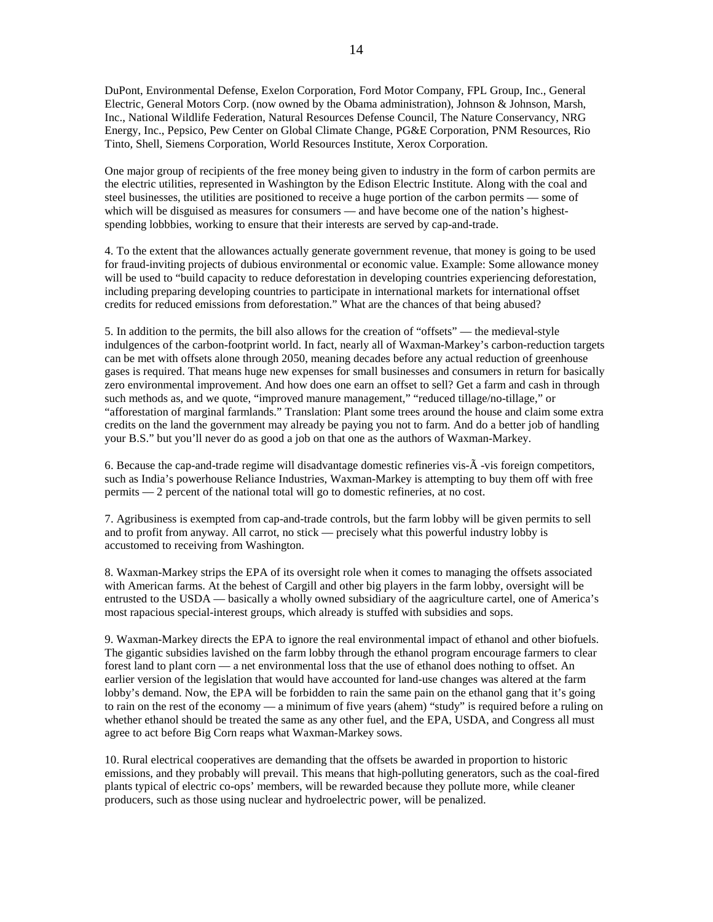DuPont, Environmental Defense, Exelon Corporation, Ford Motor Company, FPL Group, Inc., General Electric, General Motors Corp. (now owned by the Obama administration), Johnson & Johnson, Marsh, Inc., National Wildlife Federation, Natural Resources Defense Council, The Nature Conservancy, NRG Energy, Inc., Pepsico, Pew Center on Global Climate Change, PG&E Corporation, PNM Resources, Rio Tinto, Shell, Siemens Corporation, World Resources Institute, Xerox Corporation.

One major group of recipients of the free money being given to industry in the form of carbon permits are the electric utilities, represented in Washington by the Edison Electric Institute. Along with the coal and steel businesses, the utilities are positioned to receive a huge portion of the carbon permits — some of which will be disguised as measures for consumers — and have become one of the nation's highestspending lobbbies, working to ensure that their interests are served by cap-and-trade.

4. To the extent that the allowances actually generate government revenue, that money is going to be used for fraud-inviting projects of dubious environmental or economic value. Example: Some allowance money will be used to "build capacity to reduce deforestation in developing countries experiencing deforestation, including preparing developing countries to participate in international markets for international offset credits for reduced emissions from deforestation." What are the chances of that being abused?

5. In addition to the permits, the bill also allows for the creation of "offsets" — the medieval-style indulgences of the carbon-footprint world. In fact, nearly all of Waxman-Markey's carbon-reduction targets can be met with offsets alone through 2050, meaning decades before any actual reduction of greenhouse gases is required. That means huge new expenses for small businesses and consumers in return for basically zero environmental improvement. And how does one earn an offset to sell? Get a farm and cash in through such methods as, and we quote, "improved manure management," "reduced tillage/no-tillage," or "afforestation of marginal farmlands." Translation: Plant some trees around the house and claim some extra credits on the land the government may already be paying you not to farm. And do a better job of handling your B.S." but you'll never do as good a job on that one as the authors of Waxman-Markey.

6. Because the cap-and-trade regime will disadvantage domestic refineries vis-Ã -vis foreign competitors, such as India's powerhouse Reliance Industries, Waxman-Markey is attempting to buy them off with free permits — 2 percent of the national total will go to domestic refineries, at no cost.

7. Agribusiness is exempted from cap-and-trade controls, but the farm lobby will be given permits to sell and to profit from anyway. All carrot, no stick — precisely what this powerful industry lobby is accustomed to receiving from Washington.

8. Waxman-Markey strips the EPA of its oversight role when it comes to managing the offsets associated with American farms. At the behest of Cargill and other big players in the farm lobby, oversight will be entrusted to the USDA — basically a wholly owned subsidiary of the aagriculture cartel, one of America's most rapacious special-interest groups, which already is stuffed with subsidies and sops.

9. Waxman-Markey directs the EPA to ignore the real environmental impact of ethanol and other biofuels. The gigantic subsidies lavished on the farm lobby through the ethanol program encourage farmers to clear forest land to plant corn — a net environmental loss that the use of ethanol does nothing to offset. An earlier version of the legislation that would have accounted for land-use changes was altered at the farm lobby's demand. Now, the EPA will be forbidden to rain the same pain on the ethanol gang that it's going to rain on the rest of the economy — a minimum of five years (ahem) "study" is required before a ruling on whether ethanol should be treated the same as any other fuel, and the EPA, USDA, and Congress all must agree to act before Big Corn reaps what Waxman-Markey sows.

10. Rural electrical cooperatives are demanding that the offsets be awarded in proportion to historic emissions, and they probably will prevail. This means that high-polluting generators, such as the coal-fired plants typical of electric co-ops' members, will be rewarded because they pollute more, while cleaner producers, such as those using nuclear and hydroelectric power, will be penalized.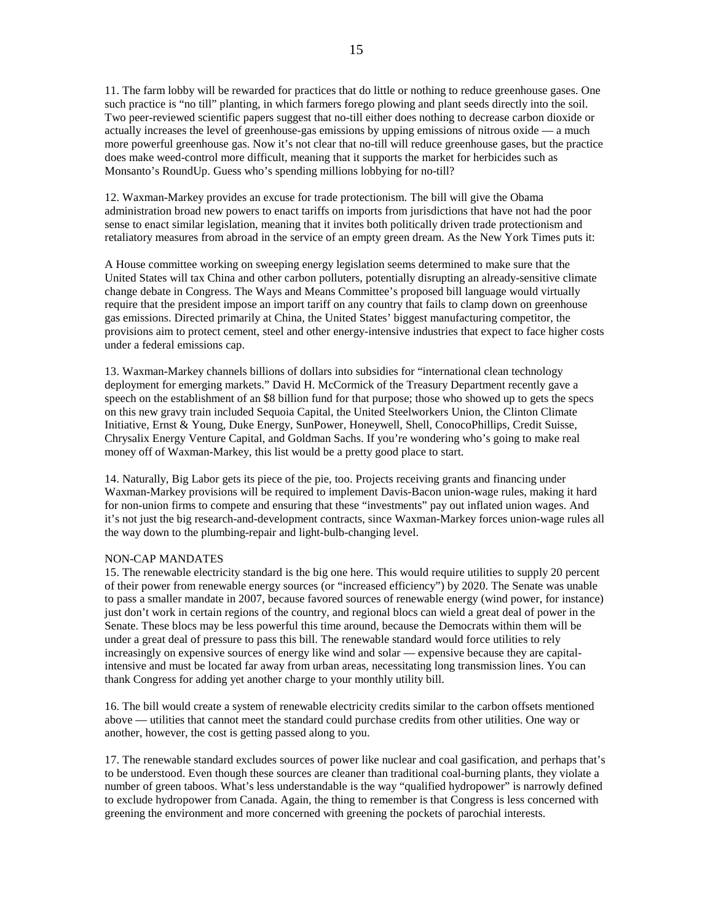11. The farm lobby will be rewarded for practices that do little or nothing to reduce greenhouse gases. One such practice is "no till" planting, in which farmers forego plowing and plant seeds directly into the soil. Two peer-reviewed scientific papers suggest that no-till either does nothing to decrease carbon dioxide or actually increases the level of greenhouse-gas emissions by upping emissions of nitrous oxide — a much more powerful greenhouse gas. Now it's not clear that no-till will reduce greenhouse gases, but the practice does make weed-control more difficult, meaning that it supports the market for herbicides such as Monsanto's RoundUp. Guess who's spending millions lobbying for no-till?

12. Waxman-Markey provides an excuse for trade protectionism. The bill will give the Obama administration broad new powers to enact tariffs on imports from jurisdictions that have not had the poor sense to enact similar legislation, meaning that it invites both politically driven trade protectionism and retaliatory measures from abroad in the service of an empty green dream. As the New York Times puts it:

A House committee working on sweeping energy legislation seems determined to make sure that the United States will tax China and other carbon polluters, potentially disrupting an already-sensitive climate change debate in Congress. The Ways and Means Committee's proposed bill language would virtually require that the president impose an import tariff on any country that fails to clamp down on greenhouse gas emissions. Directed primarily at China, the United States' biggest manufacturing competitor, the provisions aim to protect cement, steel and other energy-intensive industries that expect to face higher costs under a federal emissions cap.

13. Waxman-Markey channels billions of dollars into subsidies for "international clean technology deployment for emerging markets." David H. McCormick of the Treasury Department recently gave a speech on the establishment of an \$8 billion fund for that purpose; those who showed up to gets the specs on this new gravy train included Sequoia Capital, the United Steelworkers Union, the Clinton Climate Initiative, Ernst & Young, Duke Energy, SunPower, Honeywell, Shell, ConocoPhillips, Credit Suisse, Chrysalix Energy Venture Capital, and Goldman Sachs. If you're wondering who's going to make real money off of Waxman-Markey, this list would be a pretty good place to start.

14. Naturally, Big Labor gets its piece of the pie, too. Projects receiving grants and financing under Waxman-Markey provisions will be required to implement Davis-Bacon union-wage rules, making it hard for non-union firms to compete and ensuring that these "investments" pay out inflated union wages. And it's not just the big research-and-development contracts, since Waxman-Markey forces union-wage rules all the way down to the plumbing-repair and light-bulb-changing level.

### NON-CAP MANDATES

15. The renewable electricity standard is the big one here. This would require utilities to supply 20 percent of their power from renewable energy sources (or "increased efficiency") by 2020. The Senate was unable to pass a smaller mandate in 2007, because favored sources of renewable energy (wind power, for instance) just don't work in certain regions of the country, and regional blocs can wield a great deal of power in the Senate. These blocs may be less powerful this time around, because the Democrats within them will be under a great deal of pressure to pass this bill. The renewable standard would force utilities to rely increasingly on expensive sources of energy like wind and solar — expensive because they are capitalintensive and must be located far away from urban areas, necessitating long transmission lines. You can thank Congress for adding yet another charge to your monthly utility bill.

16. The bill would create a system of renewable electricity credits similar to the carbon offsets mentioned above — utilities that cannot meet the standard could purchase credits from other utilities. One way or another, however, the cost is getting passed along to you.

17. The renewable standard excludes sources of power like nuclear and coal gasification, and perhaps that's to be understood. Even though these sources are cleaner than traditional coal-burning plants, they violate a number of green taboos. What's less understandable is the way "qualified hydropower" is narrowly defined to exclude hydropower from Canada. Again, the thing to remember is that Congress is less concerned with greening the environment and more concerned with greening the pockets of parochial interests.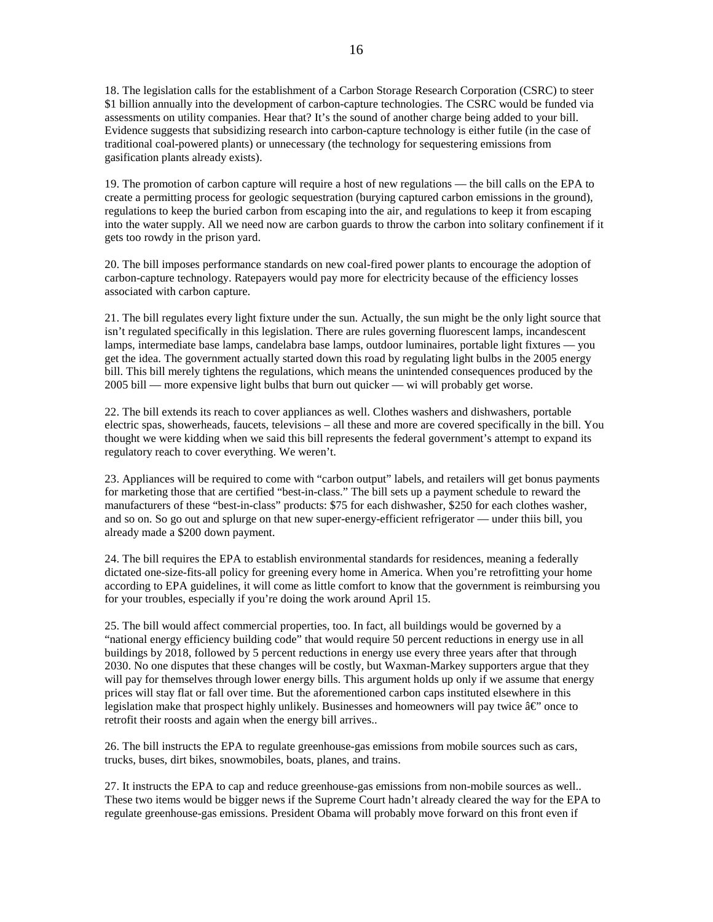18. The legislation calls for the establishment of a Carbon Storage Research Corporation (CSRC) to steer \$1 billion annually into the development of carbon-capture technologies. The CSRC would be funded via assessments on utility companies. Hear that? It's the sound of another charge being added to your bill. Evidence suggests that subsidizing research into carbon-capture technology is either futile (in the case of traditional coal-powered plants) or unnecessary (the technology for sequestering emissions from gasification plants already exists).

19. The promotion of carbon capture will require a host of new regulations — the bill calls on the EPA to create a permitting process for geologic sequestration (burying captured carbon emissions in the ground), regulations to keep the buried carbon from escaping into the air, and regulations to keep it from escaping into the water supply. All we need now are carbon guards to throw the carbon into solitary confinement if it gets too rowdy in the prison yard.

20. The bill imposes performance standards on new coal-fired power plants to encourage the adoption of carbon-capture technology. Ratepayers would pay more for electricity because of the efficiency losses associated with carbon capture.

21. The bill regulates every light fixture under the sun. Actually, the sun might be the only light source that isn't regulated specifically in this legislation. There are rules governing fluorescent lamps, incandescent lamps, intermediate base lamps, candelabra base lamps, outdoor luminaires, portable light fixtures — you get the idea. The government actually started down this road by regulating light bulbs in the 2005 energy bill. This bill merely tightens the regulations, which means the unintended consequences produced by the 2005 bill — more expensive light bulbs that burn out quicker — wi will probably get worse.

22. The bill extends its reach to cover appliances as well. Clothes washers and dishwashers, portable electric spas, showerheads, faucets, televisions – all these and more are covered specifically in the bill. You thought we were kidding when we said this bill represents the federal government's attempt to expand its regulatory reach to cover everything. We weren't.

23. Appliances will be required to come with "carbon output" labels, and retailers will get bonus payments for marketing those that are certified "best-in-class." The bill sets up a payment schedule to reward the manufacturers of these "best-in-class" products: \$75 for each dishwasher, \$250 for each clothes washer, and so on. So go out and splurge on that new super-energy-efficient refrigerator — under thiis bill, you already made a \$200 down payment.

24. The bill requires the EPA to establish environmental standards for residences, meaning a federally dictated one-size-fits-all policy for greening every home in America. When you're retrofitting your home according to EPA guidelines, it will come as little comfort to know that the government is reimbursing you for your troubles, especially if you're doing the work around April 15.

25. The bill would affect commercial properties, too. In fact, all buildings would be governed by a "national energy efficiency building code" that would require 50 percent reductions in energy use in all buildings by 2018, followed by 5 percent reductions in energy use every three years after that through 2030. No one disputes that these changes will be costly, but Waxman-Markey supporters argue that they will pay for themselves through lower energy bills. This argument holds up only if we assume that energy prices will stay flat or fall over time. But the aforementioned carbon caps instituted elsewhere in this legislation make that prospect highly unlikely. Businesses and homeowners will pay twice  $\hat{a} \in \mathbb{C}^n$  once to retrofit their roosts and again when the energy bill arrives..

26. The bill instructs the EPA to regulate greenhouse-gas emissions from mobile sources such as cars, trucks, buses, dirt bikes, snowmobiles, boats, planes, and trains.

27. It instructs the EPA to cap and reduce greenhouse-gas emissions from non-mobile sources as well.. These two items would be bigger news if the Supreme Court hadn't already cleared the way for the EPA to regulate greenhouse-gas emissions. President Obama will probably move forward on this front even if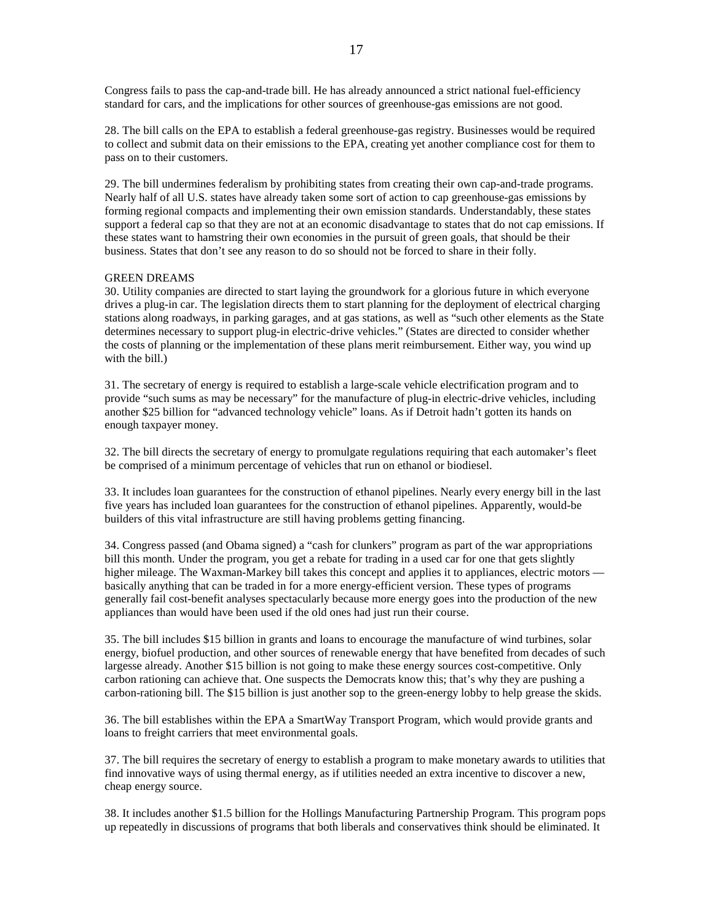Congress fails to pass the cap-and-trade bill. He has already announced a strict national fuel-efficiency standard for cars, and the implications for other sources of greenhouse-gas emissions are not good.

28. The bill calls on the EPA to establish a federal greenhouse-gas registry. Businesses would be required to collect and submit data on their emissions to the EPA, creating yet another compliance cost for them to pass on to their customers.

29. The bill undermines federalism by prohibiting states from creating their own cap-and-trade programs. Nearly half of all U.S. states have already taken some sort of action to cap greenhouse-gas emissions by forming regional compacts and implementing their own emission standards. Understandably, these states support a federal cap so that they are not at an economic disadvantage to states that do not cap emissions. If these states want to hamstring their own economies in the pursuit of green goals, that should be their business. States that don't see any reason to do so should not be forced to share in their folly.

#### GREEN DREAMS

30. Utility companies are directed to start laying the groundwork for a glorious future in which everyone drives a plug-in car. The legislation directs them to start planning for the deployment of electrical charging stations along roadways, in parking garages, and at gas stations, as well as "such other elements as the State determines necessary to support plug-in electric-drive vehicles." (States are directed to consider whether the costs of planning or the implementation of these plans merit reimbursement. Either way, you wind up with the bill.)

31. The secretary of energy is required to establish a large-scale vehicle electrification program and to provide "such sums as may be necessary" for the manufacture of plug-in electric-drive vehicles, including another \$25 billion for "advanced technology vehicle" loans. As if Detroit hadn't gotten its hands on enough taxpayer money.

32. The bill directs the secretary of energy to promulgate regulations requiring that each automaker's fleet be comprised of a minimum percentage of vehicles that run on ethanol or biodiesel.

33. It includes loan guarantees for the construction of ethanol pipelines. Nearly every energy bill in the last five years has included loan guarantees for the construction of ethanol pipelines. Apparently, would-be builders of this vital infrastructure are still having problems getting financing.

34. Congress passed (and Obama signed) a "cash for clunkers" program as part of the war appropriations bill this month. Under the program, you get a rebate for trading in a used car for one that gets slightly higher mileage. The Waxman-Markey bill takes this concept and applies it to appliances, electric motors basically anything that can be traded in for a more energy-efficient version. These types of programs generally fail cost-benefit analyses spectacularly because more energy goes into the production of the new appliances than would have been used if the old ones had just run their course.

35. The bill includes \$15 billion in grants and loans to encourage the manufacture of wind turbines, solar energy, biofuel production, and other sources of renewable energy that have benefited from decades of such largesse already. Another \$15 billion is not going to make these energy sources cost-competitive. Only carbon rationing can achieve that. One suspects the Democrats know this; that's why they are pushing a carbon-rationing bill. The \$15 billion is just another sop to the green-energy lobby to help grease the skids.

36. The bill establishes within the EPA a SmartWay Transport Program, which would provide grants and loans to freight carriers that meet environmental goals.

37. The bill requires the secretary of energy to establish a program to make monetary awards to utilities that find innovative ways of using thermal energy, as if utilities needed an extra incentive to discover a new, cheap energy source.

38. It includes another \$1.5 billion for the Hollings Manufacturing Partnership Program. This program pops up repeatedly in discussions of programs that both liberals and conservatives think should be eliminated. It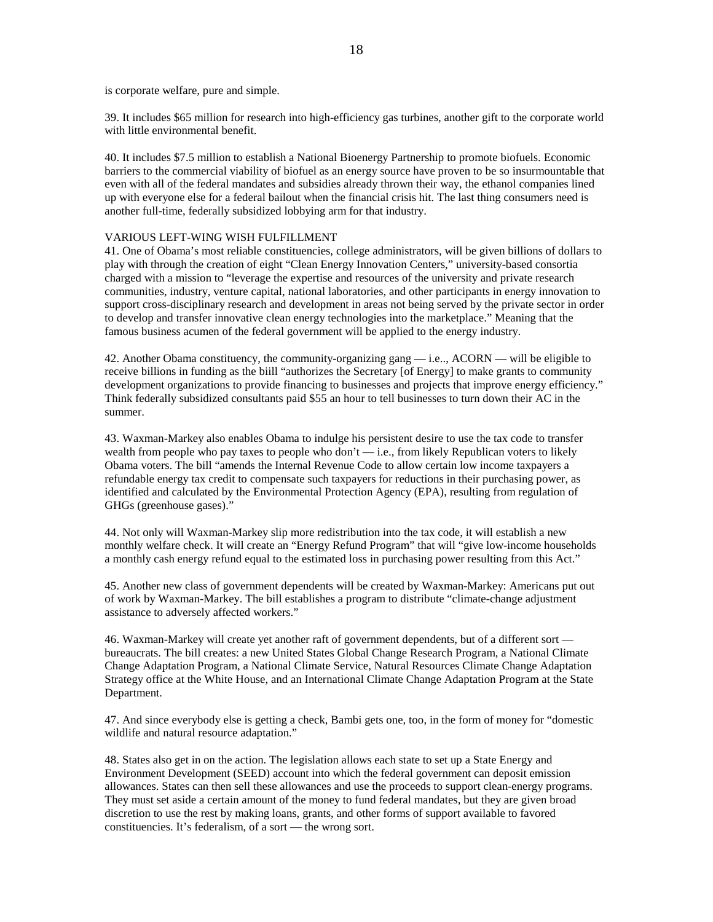is corporate welfare, pure and simple.

39. It includes \$65 million for research into high-efficiency gas turbines, another gift to the corporate world with little environmental benefit.

40. It includes \$7.5 million to establish a National Bioenergy Partnership to promote biofuels. Economic barriers to the commercial viability of biofuel as an energy source have proven to be so insurmountable that even with all of the federal mandates and subsidies already thrown their way, the ethanol companies lined up with everyone else for a federal bailout when the financial crisis hit. The last thing consumers need is another full-time, federally subsidized lobbying arm for that industry.

### VARIOUS LEFT-WING WISH FULFILLMENT

41. One of Obama's most reliable constituencies, college administrators, will be given billions of dollars to play with through the creation of eight "Clean Energy Innovation Centers," university-based consortia charged with a mission to "leverage the expertise and resources of the university and private research communities, industry, venture capital, national laboratories, and other participants in energy innovation to support cross-disciplinary research and development in areas not being served by the private sector in order to develop and transfer innovative clean energy technologies into the marketplace." Meaning that the famous business acumen of the federal government will be applied to the energy industry.

42. Another Obama constituency, the community-organizing gang — i.e.., ACORN — will be eligible to receive billions in funding as the biill "authorizes the Secretary [of Energy] to make grants to community development organizations to provide financing to businesses and projects that improve energy efficiency." Think federally subsidized consultants paid \$55 an hour to tell businesses to turn down their AC in the summer.

43. Waxman-Markey also enables Obama to indulge his persistent desire to use the tax code to transfer wealth from people who pay taxes to people who don't  $-$  i.e., from likely Republican voters to likely Obama voters. The bill "amends the Internal Revenue Code to allow certain low income taxpayers a refundable energy tax credit to compensate such taxpayers for reductions in their purchasing power, as identified and calculated by the Environmental Protection Agency (EPA), resulting from regulation of GHGs (greenhouse gases)."

44. Not only will Waxman-Markey slip more redistribution into the tax code, it will establish a new monthly welfare check. It will create an "Energy Refund Program" that will "give low-income households a monthly cash energy refund equal to the estimated loss in purchasing power resulting from this Act."

45. Another new class of government dependents will be created by Waxman-Markey: Americans put out of work by Waxman-Markey. The bill establishes a program to distribute "climate-change adjustment assistance to adversely affected workers."

46. Waxman-Markey will create yet another raft of government dependents, but of a different sort bureaucrats. The bill creates: a new United States Global Change Research Program, a National Climate Change Adaptation Program, a National Climate Service, Natural Resources Climate Change Adaptation Strategy office at the White House, and an International Climate Change Adaptation Program at the State Department.

47. And since everybody else is getting a check, Bambi gets one, too, in the form of money for "domestic wildlife and natural resource adaptation."

48. States also get in on the action. The legislation allows each state to set up a State Energy and Environment Development (SEED) account into which the federal government can deposit emission allowances. States can then sell these allowances and use the proceeds to support clean-energy programs. They must set aside a certain amount of the money to fund federal mandates, but they are given broad discretion to use the rest by making loans, grants, and other forms of support available to favored constituencies. It's federalism, of a sort — the wrong sort.